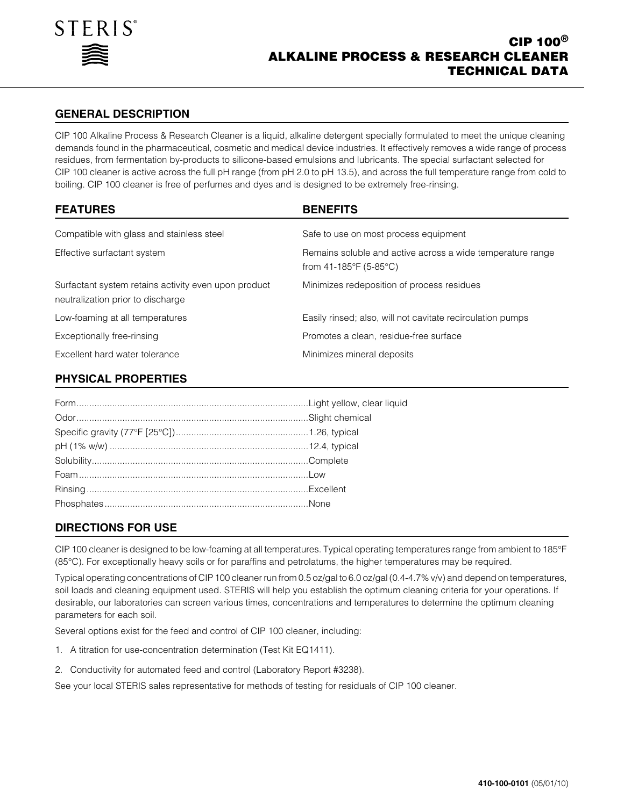

## **GENERAL DESCRIPTION**

CIP 100 Alkaline Process & Research Cleaner is a liquid, alkaline detergent specially formulated to meet the unique cleaning demands found in the pharmaceutical, cosmetic and medical device industries. It effectively removes a wide range of process residues, from fermentation by-products to silicone-based emulsions and lubricants. The special surfactant selected for CIP 100 cleaner is active across the full pH range (from pH 2.0 to pH 13.5), and across the full temperature range from cold to boiling. CIP 100 cleaner is free of perfumes and dyes and is designed to be extremely free-rinsing.

| <b>FEATURES</b>                                                                           | <b>BENEFITS</b>                                                                      |
|-------------------------------------------------------------------------------------------|--------------------------------------------------------------------------------------|
| Compatible with glass and stainless steel                                                 | Safe to use on most process equipment                                                |
| Effective surfactant system                                                               | Remains soluble and active across a wide temperature range<br>from 41-185°F (5-85°C) |
| Surfactant system retains activity even upon product<br>neutralization prior to discharge | Minimizes redeposition of process residues                                           |
| Low-foaming at all temperatures                                                           | Easily rinsed; also, will not cavitate recirculation pumps                           |
| Exceptionally free-rinsing                                                                | Promotes a clean, residue-free surface                                               |
| Excellent hard water tolerance                                                            | Minimizes mineral deposits                                                           |

## **PHYSICAL PROPERTIES**

# **DIRECTIONS FOR USE**

CIP 100 cleaner is designed to be low-foaming at all temperatures. Typical operating temperatures range from ambient to 185°F (85°C). For exceptionally heavy soils or for paraffins and petrolatums, the higher temperatures may be required.

Typical operating concentrations of CIP 100 cleaner run from 0.5 oz/gal to 6.0 oz/gal (0.4-4.7% v/v) and depend on temperatures, soil loads and cleaning equipment used. STERIS will help you establish the optimum cleaning criteria for your operations. If desirable, our laboratories can screen various times, concentrations and temperatures to determine the optimum cleaning parameters for each soil.

Several options exist for the feed and control of CIP 100 cleaner, including:

- 1. A titration for use-concentration determination (Test Kit EQ1411).
- 2. Conductivity for automated feed and control (Laboratory Report #3238).

See your local STERIS sales representative for methods of testing for residuals of CIP 100 cleaner.